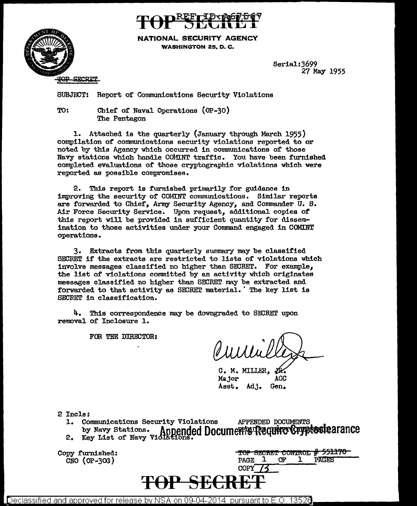

NATIONAL SECURITY AGENCY WASHINGTON 25, D. C.

> Serial:J699 27 May 1955

SUBJECT: Report of Communications Security Violations

TO: Chier or Naval Operations (OP-30) The Pentagon

**SECRET** 

1. Attached is the quarterly (January through March 1955) compilation of communications security violations reported to or noted by this Agency which occurred in communications of those Navy stations which handle COMINT traffic. You have been furnished completed evaluations of those cryptographic violations which were reported as possible compromises.

2. This report is furnished primarily for guidance in improving the security of' COMINT communications. Similar reports are forwarded to Chief', Army Security Agency, and Commander U. S. Air Force Security Service. Upon request, additional copies of this report will be provided in sufficient quantity for dissemination to those activities under your Command engaged in COMINT operations.

3. Extracts from this quarterly summary may be classified SECRET if the extracts are restricted to lists of violations which involve messages classified no higher than SECRET. For example, the list of' violations committed by an activity which originates messages classified no higher than SECRET may be extracted and forwarded to that activity as SECRET material. The key list is SECRET in classification.

4. This correspondence may be downgraded to SECRET upon removal of' Inclosure 1.

FOR THE DIRECTOR:

C. M. MILLER, Major AGC Asst. Adj. Gen.

- 2 Incls:<br>1. Communications Security Violations 1. Communications Security Violations APPENDED DOCUMENTS. by Navy Stations. Annended Docume Tequire Cryptoule arance 2. Key List of Navy Violations.
	-

Copy furnished:  $CNO$  (OP-30G)

|             |   | TOP SECRET CONTROL # 771170 |
|-------------|---|-----------------------------|
| <b>PAGE</b> | Œ | <b>PAGES</b>                |
| COPY        |   |                             |



Declassified and approved for release by NSA on 09-04-2014  $\,$  pursuant to E.O. 1352 $6$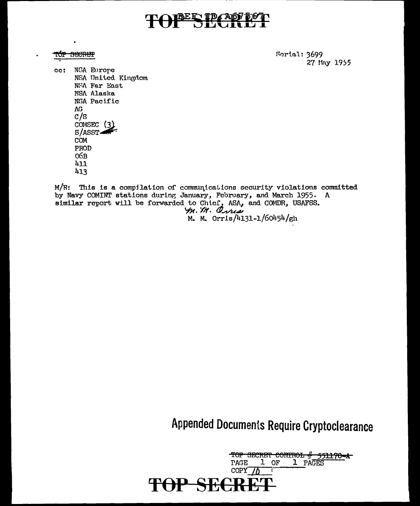## TOPER PASTER

### <del>TÚP SECRET</del>

Serial: 3699 27 May 1955

 $cc:$ NSA Europe NSA United Kingdom NSA Far East NSA Alaska NSA Pacific  $AG$  $c/s$ COMSEC (3)  $S/ASST$ COM PROD  $O6B$  $411$  $413$ 

M/R: This is a compilation of communications security violations committed by Navy COMINT stations during January, February, and March 1955. A similar report will be forwarded to Chief, ASA, and COMDR, USAFSS.<br>  $\frac{1}{2}$ .  $\frac{1}{N}$ .  $\frac{1}{N}$ .  $\frac{1}{N}$ .  $\frac{1}{N}$ .  $\frac{1}{N}$ .  $\frac{1}{N}$ .  $\frac{1}{N}$ .  $\frac{1}{N}$ .  $\frac{1}{N}$ .  $\frac{1}{N}$ .  $\frac{1}{N}$ .  $\frac{1}{N}$ .  $\frac{1}{N}$ .

Appended Documents Require Cryptoclearance

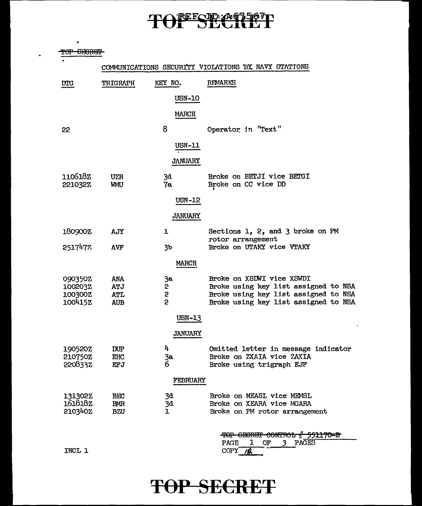# TOFFSECREET

TOP SHORFF

COMMUNICATIONS SECURITY VIOLATIONS 'BX NAVY STATIONS

| DTG                | <b>TRIGRAPH</b>          | KEY NO.        | REMARKS                                          |
|--------------------|--------------------------|----------------|--------------------------------------------------|
|                    |                          | <b>USN-10</b>  |                                                  |
|                    |                          | <b>MARCH</b>   |                                                  |
| 22                 |                          | 8              | Operator in "Text"                               |
|                    |                          | $USN-11$       |                                                  |
|                    |                          | <b>JANUARY</b> |                                                  |
| 1106182<br>221032Z | <b>UZR</b><br><b>WMU</b> | 3d<br>7а       | Broke on BETJI vice BETGI<br>Broke on CC vice DD |
|                    |                          | USN-12         |                                                  |
|                    |                          | <b>JANUARY</b> |                                                  |
| 180900Z            | AJY                      | ı              | Sections 1, 2, and 3 broke on PM                 |
| 2517477            | AVF                      | 3 <sub>b</sub> | rotor arrangement<br>Broke on UTAKY vice VTAKY   |
|                    |                          | MARCH          |                                                  |
| 090350Z            | ANA                      | 3a             | Broke on XSDWI vice XSWDI                        |
| 100203Z            | ATJ                      | $\mathbf{2}$   | Broke using key list assigned to NSA             |
| 100300Z            | <b>ATL</b>               | $\mathbf{2}$   | Broke using key list assigned to NSA             |
| 100415Z            | <b>AUB</b>               | 2              | Broke using key list assigned to NSA             |
|                    |                          | USN-13         |                                                  |
|                    |                          | <b>JANUARY</b> |                                                  |
| 190520Z            | $_{\rm DUP}$             | 4              | Omitted letter in message indicator              |
| 210750Z            | EHC                      |                | Broke on ZXAIA vice ZAXIA                        |
| 2208332            | EFJ                      | 3a<br>6        | Broke using trigraph EJF                         |
|                    |                          | FEBRUARY       |                                                  |
|                    |                          |                |                                                  |
| 131302Z            | <b>BEC</b>               | 3đ             | Broke on MEASL vice MEMSL                        |
| 161818z            | BMR                      | 3d.            | Broke on XEARA vice MGARA                        |
| 210340Z            | BZU                      | 1              | Broke on PM rotor arrangement                    |
|                    |                          |                |                                                  |

|             |    |  | TOP CECRET CONTROL # 551170-B |  |
|-------------|----|--|-------------------------------|--|
| <b>PAGE</b> | OF |  |                               |  |
| COPY        |    |  |                               |  |

INCL l

### **T6P SEERET**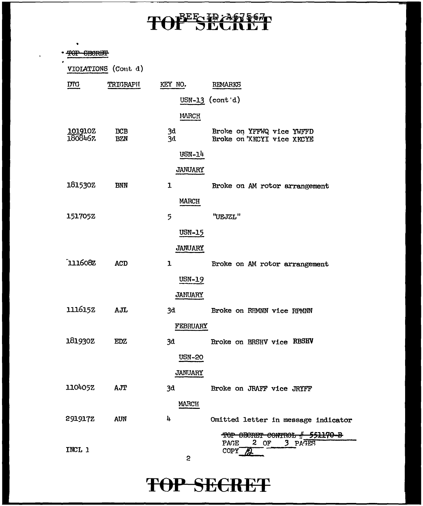# TOPESE A67567

 $\cdot$ 

| ۰                  |                          |                |                                                         |
|--------------------|--------------------------|----------------|---------------------------------------------------------|
|                    |                          |                |                                                         |
|                    | VIOLATIONS (Cont d)      |                |                                                         |
| <b>DTG</b>         | TRIGRAPH                 | KEY NO.        | REMARKS                                                 |
|                    |                          |                | $USN-13$ (cont'd)                                       |
|                    |                          | MARCH          |                                                         |
| 101910Z<br>1808467 | <b>BCB</b><br><b>BZN</b> | 3d<br>3d       | Broke on YFFWQ vice YWFFD<br>Broke on 'XKCYI vice XKCYE |
|                    |                          | <b>USN-14</b>  |                                                         |
|                    |                          | <b>JANUARY</b> |                                                         |
| 181530Z            | <b>BNN</b>               | 1              | Broke on AM rotor arrangement                           |
|                    |                          | MARCH          |                                                         |
| 1517052            |                          | 5              | "UEJZL"                                                 |
|                    |                          | <b>USN-15</b>  |                                                         |
|                    |                          | <b>JANUARY</b> |                                                         |
| 111608Z            | <b>ACD</b>               | 1              | Broke on AM rotor arrangement                           |
|                    |                          | <b>USN-19</b>  |                                                         |
|                    |                          | <b>JANUARY</b> |                                                         |
| 1116152            | AJL                      | 3d             | Broke on RHMNN vice RPMNN                               |
|                    |                          | FEBRUARY       |                                                         |
| 181930Z            | <b>EDZ</b>               | 3d             | Broke on BRSHV vice RBSHV                               |
|                    |                          | <b>USN-20</b>  |                                                         |
|                    |                          | JANUARY        |                                                         |
| 110405Z            | AJT                      | 3d             | Broke on JRAFF vice JRYFF                               |
|                    |                          | <b>MARCH</b>   |                                                         |
| 291917Z            | <b>AUN</b>               | 4              | Omitted letter in message indicator                     |
|                    |                          |                | TOP SECRET CONTROL # 551170-B                           |
| INCL 1             |                          | S              | $2$ OF<br>PAGE<br>3 PAGES<br>COPY                       |

# **TOP SECRET**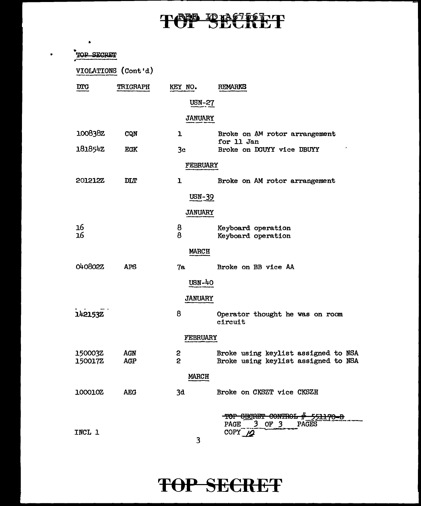# TOP BROTOLT

 $\bullet$ 

|                | VIOLATIONS (Cont'd) |                 |                                             |
|----------------|---------------------|-----------------|---------------------------------------------|
| <b>DTG</b>     | <b>TRIGRAPH</b>     | KEY NO.         | <b>REMARKS</b>                              |
|                |                     | <b>USN-27</b>   |                                             |
|                |                     | <b>JANUARY</b>  |                                             |
| 100838z        | CQN                 | ı               | Broke on AM rotor arrangement<br>for 11 Jan |
| 181854Z        | EGK                 | 3c              | Broke on DGUYY vice DBUYY                   |
|                |                     | FEBRUARY        |                                             |
| <b>201212Z</b> | <b>DLT</b>          | ı               | Broke on AM rotor arrangement               |
|                |                     | USN-39          |                                             |
|                |                     | <b>JANUARY</b>  |                                             |
| 16             |                     | 8               | Keyboard operation                          |
| 16             |                     | 8               | Keyboard operation                          |
|                |                     | <b>MARCH</b>    |                                             |
| 040802Z        | <b>APS</b>          | 7а              | Broke on BB vice AA                         |
|                |                     | <b>USN-40</b>   |                                             |
|                |                     | <b>JANUARY</b>  |                                             |
| 1421532        |                     | 8               | Operator thought he was on room<br>circuit  |
|                |                     | <b>FEBRUARY</b> |                                             |
| 150003Z        | <b>AGN</b>          | 2<br>2          | Broke using keylist assigned to NSA         |
| 150017Z        | AGP                 |                 | Broke using keylist assigned to NSA         |
|                |                     | <b>MARCH</b>    |                                             |
| 100010Z        | <b>AEG</b>          | 3d              | Broke on CKSZT vice CKSZH                   |

# **TOP SECRET**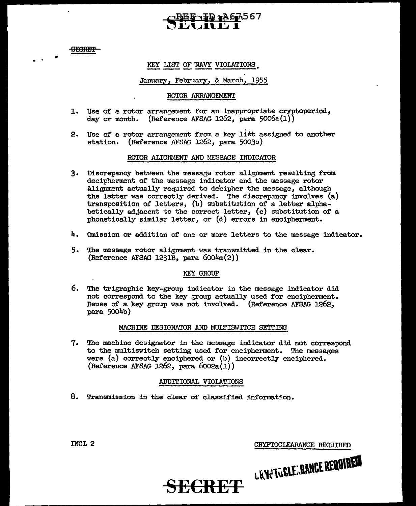**CHORET** 

.. . •

#### KEY LIST OF NAVY VIOLATIONS

#### January, February, & March, 1955

#### ROTOR ARRANGEMENT

- 1. Use of a rotor arrangement for an inappropriate cryptoperiod, day or month. (Reference AFSAG 1262, para  $5006a(1)$ )
- 2. Use of a rotor arrangement from a key list assigned to another station. (Reference AFSAG 1262, para 5003b)

#### ROTOR ALIGNMENT AND MESSAGE INDICATOR

- 3. Discrepancy between the message rotor alignment resulting from decipherment of the message indicator and the message rotor alignment actually required to decipher the message, although the latter was correctly derived. The discrepancy involves (a) transposition of letters, (b) substitution *of* a letter alphabetically adjacent to the correct letter, (c) substitution of a phonetically similar letter, or (d) errors in encipherment.
- 4. Omission or addition of one or more letters to the message indicator.
- 5. The message rotor alignment was transmitted in the clear. (Reference AFSAG 1231B, para  $6004a(2)$ )

#### KEY GROUP

6. The trigraphic key-group indicator in the message indicator did not correspond to the key group actually used for encipherment. Reuse of a key group was not involved. (Reference AFSAG 1262, para 5004b)

#### MACHINE DESIGNATOR AND MULTISWITCH SETTING

7. The machine designator in the message indicator did not correspond to the multiswitch setting used for encipherment. The messages were {a) correctly enciphered or (b) incorrectly enciphered. (Reference AFSAG 1262, para  $6002a(1)$ )

#### ADDITIONAL VIOLATIONS

**SECRET** 

8. Transmission in the clear of classified information.

INCL 2 CRYPTOCLEARANCE REQUIRED